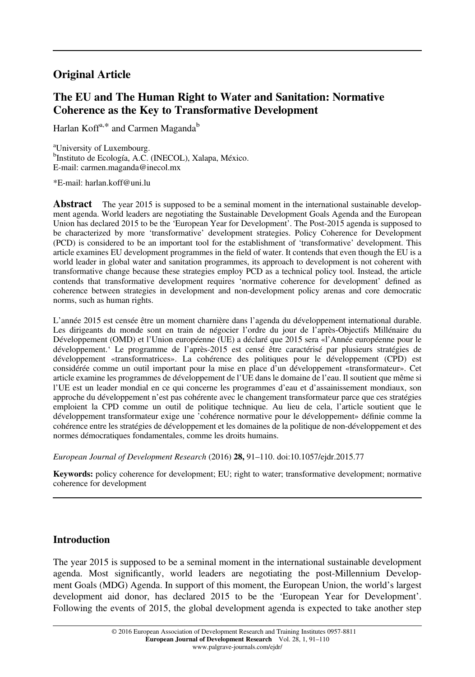# Original Article

# The EU and The Human Right to Water and Sanitation: Normative Coherence as the Key to Transformative Development

Harlan Koff<sup>a,\*</sup> and Carmen Maganda<sup>b</sup>

<sup>a</sup>University of Luxembourg. <sup>b</sup>Instituto de Ecología, A.C. (INECOL), Xalapa, México. E-mail: [carmen.maganda@inecol.mx](mailto:carmen.maganda@inecol.mx)

\*E-mail: [harlan.koff@uni.lu](mailto:harlan.koff@uni.lu)

**Abstract** The year 2015 is supposed to be a seminal moment in the international sustainable development agenda. World leaders are negotiating the Sustainable Development Goals Agenda and the European Union has declared 2015 to be the 'European Year for Development'. The Post-2015 agenda is supposed to be characterized by more 'transformative' development strategies. Policy Coherence for Development (PCD) is considered to be an important tool for the establishment of 'transformative' development. This article examines EU development programmes in the field of water. It contends that even though the EU is a world leader in global water and sanitation programmes, its approach to development is not coherent with transformative change because these strategies employ PCD as a technical policy tool. Instead, the article contends that transformative development requires 'normative coherence for development' defined as coherence between strategies in development and non-development policy arenas and core democratic norms, such as human rights.

L'année 2015 est censée être un moment charnière dans l'agenda du développement international durable. Les dirigeants du monde sont en train de négocier l'ordre du jour de l'après-Objectifs Millénaire du Développement (OMD) et l'Union européenne (UE) a déclaré que 2015 sera «l'Année européenne pour le développement.' Le programme de l'après-2015 est censé être caractérisé par plusieurs stratégies de développement «transformatrices». La cohérence des politiques pour le développement (CPD) est considérée comme un outil important pour la mise en place d'un développement «transformateur». Cet article examine les programmes de développement de l'UE dans le domaine de l'eau. Il soutient que même si l'UE est un leader mondial en ce qui concerne les programmes d'eau et d'assainissement mondiaux, son approche du développement n'est pas cohérente avec le changement transformateur parce que ces stratégies emploient la CPD comme un outil de politique technique. Au lieu de cela, l'article soutient que le développement transformateur exige une 'cohérence normative pour le développement» définie comme la cohérence entre les stratégies de développement et les domaines de la politique de non-développement et des normes démocratiques fondamentales, comme les droits humains.

European Journal of Development Research (2016) 28, 91–110. doi:[10.1057/ejdr.2015.77](http://dx.doi.org/10.1057/ejdr.2015.77)

Keywords: policy coherence for development; EU; right to water; transformative development; normative coherence for development

# **Introduction**

The year 2015 is supposed to be a seminal moment in the international sustainable development agenda. Most significantly, world leaders are negotiating the post-Millennium Development Goals (MDG) Agenda. In support of this moment, the European Union, the world's largest development aid donor, has declared 2015 to be the 'European Year for Development'. Following the events of 2015, the global development agenda is expected to take another step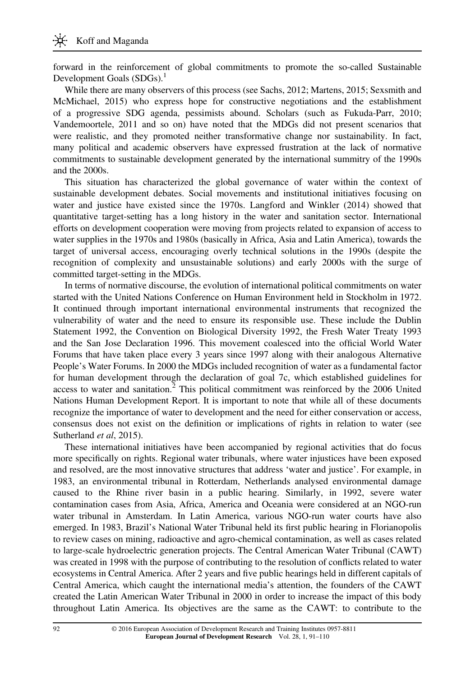forward in the reinforcement of global commitments to promote the so-called Sustainable Development Goals  $(SDGs)$ .<sup>1</sup>

While there are many observers of this process (see [Sachs, 2012;](#page-19-0) [Martens, 2015;](#page-18-0) [Sexsmith and](#page-19-0) [McMichael, 2015\)](#page-19-0) who express hope for constructive negotiations and the establishment of a progressive SDG agenda, pessimists abound. Scholars (such as [Fukuda-Parr, 2010](#page-17-0); [Vandemoortele, 2011](#page-19-0) and so on) have noted that the MDGs did not present scenarios that were realistic, and they promoted neither transformative change nor sustainability. In fact, many political and academic observers have expressed frustration at the lack of normative commitments to sustainable development generated by the international summitry of the 1990s and the 2000s.

This situation has characterized the global governance of water within the context of sustainable development debates. Social movements and institutional initiatives focusing on water and justice have existed since the 1970s. [Langford and Winkler \(2014\)](#page-18-0) showed that quantitative target-setting has a long history in the water and sanitation sector. International efforts on development cooperation were moving from projects related to expansion of access to water supplies in the 1970s and 1980s (basically in Africa, Asia and Latin America), towards the target of universal access, encouraging overly technical solutions in the 1990s (despite the recognition of complexity and unsustainable solutions) and early 2000s with the surge of committed target-setting in the MDGs.

In terms of normative discourse, the evolution of international political commitments on water started with the United Nations Conference on Human Environment held in Stockholm in 1972. It continued through important international environmental instruments that recognized the vulnerability of water and the need to ensure its responsible use. These include the Dublin Statement 1992, the Convention on Biological Diversity 1992, the Fresh Water Treaty 1993 and the San Jose Declaration 1996. This movement coalesced into the official World Water Forums that have taken place every 3 years since 1997 along with their analogous Alternative People's Water Forums. In 2000 the MDGs included recognition of water as a fundamental factor for human development through the declaration of goal 7c, which established guidelines for access to water and sanitation.<sup>2</sup> This political commitment was reinforced by the 2006 United Nations Human Development Report. It is important to note that while all of these documents recognize the importance of water to development and the need for either conservation or access, consensus does not exist on the definition or implications of rights in relation to water (see [Sutherland](#page-19-0) *et al*, 2015).

These international initiatives have been accompanied by regional activities that do focus more specifically on rights. Regional water tribunals, where water injustices have been exposed and resolved, are the most innovative structures that address 'water and justice'. For example, in 1983, an environmental tribunal in Rotterdam, Netherlands analysed environmental damage caused to the Rhine river basin in a public hearing. Similarly, in 1992, severe water contamination cases from Asia, Africa, America and Oceania were considered at an NGO-run water tribunal in Amsterdam. In Latin America, various NGO-run water courts have also emerged. In 1983, Brazil's National Water Tribunal held its first public hearing in Florianopolis to review cases on mining, radioactive and agro-chemical contamination, as well as cases related to large-scale hydroelectric generation projects. The Central American Water Tribunal (CAWT) was created in 1998 with the purpose of contributing to the resolution of conflicts related to water ecosystems in Central America. After 2 years and five public hearings held in different capitals of Central America, which caught the international media's attention, the founders of the CAWT created the Latin American Water Tribunal in 2000 in order to increase the impact of this body throughout Latin America. Its objectives are the same as the CAWT: to contribute to the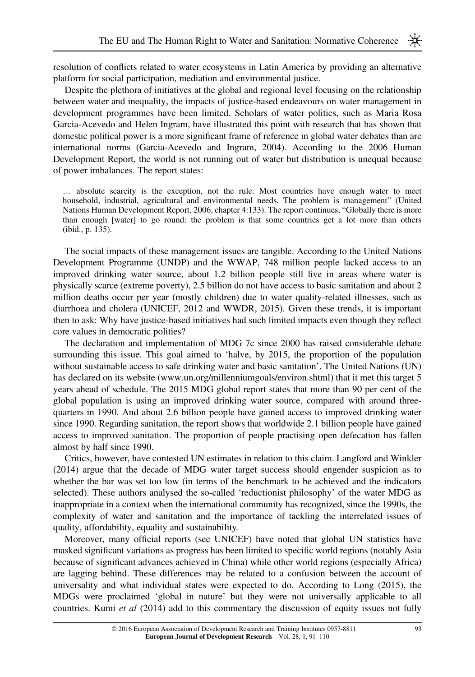resolution of conflicts related to water ecosystems in Latin America by providing an alternative platform for social participation, mediation and environmental justice.

Despite the plethora of initiatives at the global and regional level focusing on the relationship between water and inequality, the impacts of justice-based endeavours on water management in development programmes have been limited. Scholars of water politics, such as Maria Rosa Garcia-Acevedo and Helen Ingram, have illustrated this point with research that has shown that domestic political power is a more significant frame of reference in global water debates than are international norms ([Garcia-Acevedo and Ingram, 2004](#page-17-0)). According to the 2006 Human Development Report, the world is not running out of water but distribution is unequal because of power imbalances. The report states:

… absolute scarcity is the exception, not the rule. Most countries have enough water to meet household, industrial, agricultural and environmental needs. The problem is management" (United Nations Human Development Report, 2006, chapter 4:133). The report continues, "Globally there is more than enough [water] to go round: the problem is that some countries get a lot more than others (ibid., p. 135).

The social impacts of these management issues are tangible. According to the United Nations Development Programme (UNDP) and the WWAP, 748 million people lacked access to an improved drinking water source, about 1.2 billion people still live in areas where water is physically scarce (extreme poverty), 2.5 billion do not have access to basic sanitation and about 2 million deaths occur per year (mostly children) due to water quality-related illnesses, such as diarrhoea and cholera [\(UNICEF, 2012](#page-19-0) and [WWDR, 2015](#page-19-0)). Given these trends, it is important then to ask: Why have justice-based initiatives had such limited impacts even though they reflect core values in democratic polities?

The declaration and implementation of MDG 7c since 2000 has raised considerable debate surrounding this issue. This goal aimed to 'halve, by 2015, the proportion of the population without sustainable access to safe drinking water and basic sanitation'. The United Nations (UN) has declared on its website (<www.un.org/millenniumgoals/environ.shtml>) that it met this target 5 years ahead of schedule. The 2015 MDG global report states that more than 90 per cent of the global population is using an improved drinking water source, compared with around threequarters in 1990. And about 2.6 billion people have gained access to improved drinking water since 1990. Regarding sanitation, the report shows that worldwide 2.1 billion people have gained access to improved sanitation. The proportion of people practising open defecation has fallen almost by half since 1990.

Critics, however, have contested UN estimates in relation to this claim. [Langford and Winkler](#page-18-0) [\(2014\)](#page-18-0) argue that the decade of MDG water target success should engender suspicion as to whether the bar was set too low (in terms of the benchmark to be achieved and the indicators selected). These authors analysed the so-called 'reductionist philosophy' of the water MDG as inappropriate in a context when the international community has recognized, since the 1990s, the complexity of water and sanitation and the importance of tackling the interrelated issues of quality, affordability, equality and sustainability.

Moreover, many official reports (see UNICEF) have noted that global UN statistics have masked significant variations as progress has been limited to specific world regions (notably Asia because of significant advances achieved in China) while other world regions (especially Africa) are lagging behind. These differences may be related to a confusion between the account of universality and what individual states were expected to do. According to [Long \(2015\)](#page-18-0), the MDGs were proclaimed 'global in nature' but they were not universally applicable to all countries. Kumi *et al*  $(2014)$  add to this commentary the discussion of equity issues not fully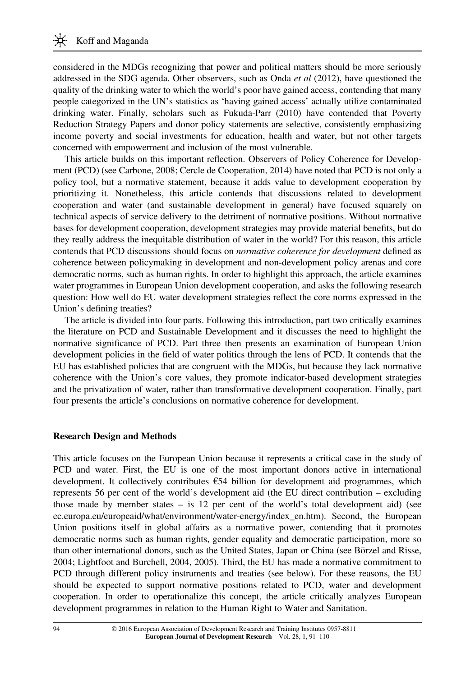considered in the MDGs recognizing that power and political matters should be more seriously addressed in the SDG agenda. Other observers, such as Onda *et al* [\(2012\),](#page-19-0) have questioned the quality of the drinking water to which the world's poor have gained access, contending that many people categorized in the UN's statistics as 'having gained access' actually utilize contaminated drinking water. Finally, scholars such as [Fukuda-Parr \(2010\)](#page-17-0) have contended that Poverty Reduction Strategy Papers and donor policy statements are selective, consistently emphasizing income poverty and social investments for education, health and water, but not other targets concerned with empowerment and inclusion of the most vulnerable.

This article builds on this important reflection. Observers of Policy Coherence for Development (PCD) (see [Carbone, 2008;](#page-16-0) [Cercle de Cooperation, 2014](#page-17-0)) have noted that PCD is not only a policy tool, but a normative statement, because it adds value to development cooperation by prioritizing it. Nonetheless, this article contends that discussions related to development cooperation and water (and sustainable development in general) have focused squarely on technical aspects of service delivery to the detriment of normative positions. Without normative bases for development cooperation, development strategies may provide material benefits, but do they really address the inequitable distribution of water in the world? For this reason, this article contends that PCD discussions should focus on normative coherence for development defined as coherence between policymaking in development and non-development policy arenas and core democratic norms, such as human rights. In order to highlight this approach, the article examines water programmes in European Union development cooperation, and asks the following research question: How well do EU water development strategies reflect the core norms expressed in the Union's defining treaties?

The article is divided into four parts. Following this introduction, part two critically examines the literature on PCD and Sustainable Development and it discusses the need to highlight the normative significance of PCD. Part three then presents an examination of European Union development policies in the field of water politics through the lens of PCD. It contends that the EU has established policies that are congruent with the MDGs, but because they lack normative coherence with the Union's core values, they promote indicator-based development strategies and the privatization of water, rather than transformative development cooperation. Finally, part four presents the article's conclusions on normative coherence for development.

## Research Design and Methods

This article focuses on the European Union because it represents a critical case in the study of PCD and water. First, the EU is one of the most important donors active in international development. It collectively contributes  $\epsilon$ 54 billion for development aid programmes, which represents 56 per cent of the world's development aid (the EU direct contribution – excluding those made by member states – is 12 per cent of the world's total development aid) (see [ec.europa.eu/europeaid/what/environment/water-energy/index\\_en.htm](ec.europa.eu/europeaid/what/environment/water-energy/index_en.htm)). Second, the European Union positions itself in global affairs as a normative power, contending that it promotes democratic norms such as human rights, gender equality and democratic participation, more so than other international donors, such as the United States, Japan or China (see [Börzel and Risse,](#page-16-0) [2004](#page-16-0); [Lightfoot and Burchell, 2004, 2005\)](#page-18-0). Third, the EU has made a normative commitment to PCD through different policy instruments and treaties (see below). For these reasons, the EU should be expected to support normative positions related to PCD, water and development cooperation. In order to operationalize this concept, the article critically analyzes European development programmes in relation to the Human Right to Water and Sanitation.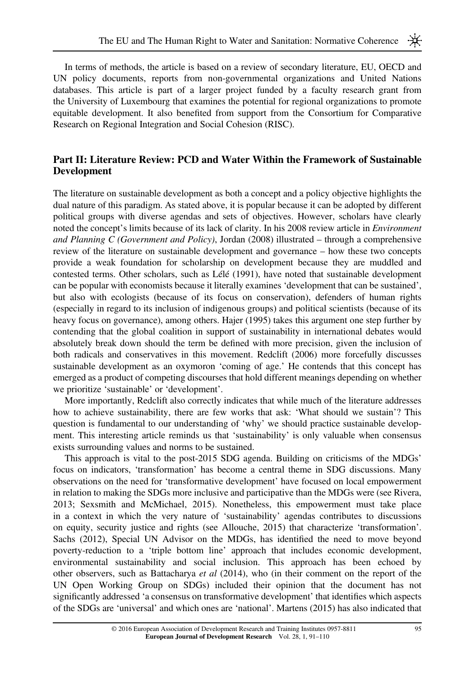In terms of methods, the article is based on a review of secondary literature, EU, OECD and UN policy documents, reports from non-governmental organizations and United Nations databases. This article is part of a larger project funded by a faculty research grant from the University of Luxembourg that examines the potential for regional organizations to promote equitable development. It also benefited from support from the Consortium for Comparative Research on Regional Integration and Social Cohesion (RISC).

# Part II: Literature Review: PCD and Water Within the Framework of Sustainable Development

The literature on sustainable development as both a concept and a policy objective highlights the dual nature of this paradigm. As stated above, it is popular because it can be adopted by different political groups with diverse agendas and sets of objectives. However, scholars have clearly noted the concept's limits because of its lack of clarity. In his 2008 review article in *Environment* and Planning C (Government and Policy), [Jordan \(2008\)](#page-18-0) illustrated – through a comprehensive review of the literature on sustainable development and governance – how these two concepts provide a weak foundation for scholarship on development because they are muddled and contested terms. Other scholars, such as [Lélé \(1991\),](#page-18-0) have noted that sustainable development can be popular with economists because it literally examines 'development that can be sustained', but also with ecologists (because of its focus on conservation), defenders of human rights (especially in regard to its inclusion of indigenous groups) and political scientists (because of its heavy focus on governance), among others. [Hajer \(1995\)](#page-17-0) takes this argument one step further by contending that the global coalition in support of sustainability in international debates would absolutely break down should the term be defined with more precision, given the inclusion of both radicals and conservatives in this movement. [Redclift \(2006\)](#page-19-0) more forcefully discusses sustainable development as an oxymoron 'coming of age.' He contends that this concept has emerged as a product of competing discourses that hold different meanings depending on whether we prioritize 'sustainable' or 'development'.

More importantly, Redclift also correctly indicates that while much of the literature addresses how to achieve sustainability, there are few works that ask: 'What should we sustain'? This question is fundamental to our understanding of 'why' we should practice sustainable development. This interesting article reminds us that 'sustainability' is only valuable when consensus exists surrounding values and norms to be sustained.

This approach is vital to the post-2015 SDG agenda. Building on criticisms of the MDGs' focus on indicators, 'transformation' has become a central theme in SDG discussions. Many observations on the need for 'transformative development' have focused on local empowerment in relation to making the SDGs more inclusive and participative than the MDGs were (see [Rivera,](#page-19-0) [2013](#page-19-0); [Sexsmith and McMichael, 2015\)](#page-19-0). Nonetheless, this empowerment must take place in a context in which the very nature of 'sustainability' agendas contributes to discussions on equity, security justice and rights (see [Allouche, 2015](#page-16-0)) that characterize 'transformation'. [Sachs \(2012\)](#page-19-0), Special UN Advisor on the MDGs, has identified the need to move beyond poverty-reduction to a 'triple bottom line' approach that includes economic development, environmental sustainability and social inclusion. This approach has been echoed by other observers, such as [Battacharya](#page-16-0) et al (2014), who (in their comment on the report of the UN Open Working Group on SDGs) included their opinion that the document has not significantly addressed 'a consensus on transformative development' that identifies which aspects of the SDGs are 'universal' and which ones are 'national'. [Martens \(2015\)](#page-18-0) has also indicated that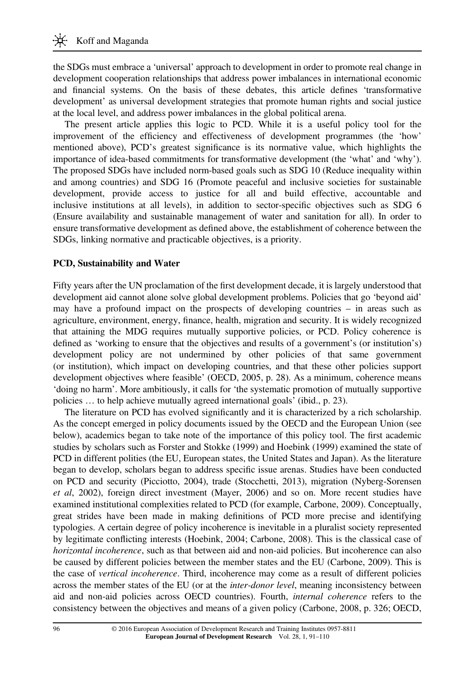the SDGs must embrace a 'universal' approach to development in order to promote real change in development cooperation relationships that address power imbalances in international economic and financial systems. On the basis of these debates, this article defines 'transformative development' as universal development strategies that promote human rights and social justice at the local level, and address power imbalances in the global political arena.

The present article applies this logic to PCD. While it is a useful policy tool for the improvement of the efficiency and effectiveness of development programmes (the 'how' mentioned above), PCD's greatest significance is its normative value, which highlights the importance of idea-based commitments for transformative development (the 'what' and 'why'). The proposed SDGs have included norm-based goals such as SDG 10 (Reduce inequality within and among countries) and SDG 16 (Promote peaceful and inclusive societies for sustainable development, provide access to justice for all and build effective, accountable and inclusive institutions at all levels), in addition to sector-specific objectives such as SDG 6 (Ensure availability and sustainable management of water and sanitation for all). In order to ensure transformative development as defined above, the establishment of coherence between the SDGs, linking normative and practicable objectives, is a priority.

#### PCD, Sustainability and Water

Fifty years after the UN proclamation of the first development decade, it is largely understood that development aid cannot alone solve global development problems. Policies that go 'beyond aid' may have a profound impact on the prospects of developing countries – in areas such as agriculture, environment, energy, finance, health, migration and security. It is widely recognized that attaining the MDG requires mutually supportive policies, or PCD. Policy coherence is defined as 'working to ensure that the objectives and results of a government's (or institution's) development policy are not undermined by other policies of that same government (or institution), which impact on developing countries, and that these other policies support development objectives where feasible' ([OECD, 2005](#page-19-0), p. 28). As a minimum, coherence means 'doing no harm'. More ambitiously, it calls for 'the systematic promotion of mutually supportive policies … to help achieve mutually agreed international goals' (ibid., p. 23).

The literature on PCD has evolved significantly and it is characterized by a rich scholarship. As the concept emerged in policy documents issued by the OECD and the European Union (see below), academics began to take note of the importance of this policy tool. The first academic studies by scholars such as [Forster and Stokke \(1999\)](#page-17-0) and [Hoebink \(1999\)](#page-17-0) examined the state of PCD in different polities (the EU, European states, the United States and Japan). As the literature began to develop, scholars began to address specific issue arenas. Studies have been conducted on PCD and security [\(Picciotto, 2004\)](#page-19-0), trade ([Stocchetti, 2013](#page-19-0)), migration ([Nyberg-Sorensen](#page-19-0) et al[, 2002\)](#page-19-0), foreign direct investment ([Mayer, 2006\)](#page-18-0) and so on. More recent studies have examined institutional complexities related to PCD (for example, [Carbone, 2009](#page-16-0)). Conceptually, great strides have been made in making definitions of PCD more precise and identifying typologies. A certain degree of policy incoherence is inevitable in a pluralist society represented by legitimate conflicting interests ([Hoebink, 2004;](#page-17-0) [Carbone, 2008](#page-16-0)). This is the classical case of horizontal incoherence, such as that between aid and non-aid policies. But incoherence can also be caused by different policies between the member states and the EU [\(Carbone, 2009](#page-16-0)). This is the case of vertical incoherence. Third, incoherence may come as a result of different policies across the member states of the EU (or at the inter-donor level, meaning inconsistency between aid and non-aid policies across OECD countries). Fourth, internal coherence refers to the consistency between the objectives and means of a given policy [\(Carbone, 2008,](#page-16-0) p. 326; [OECD,](#page-19-0)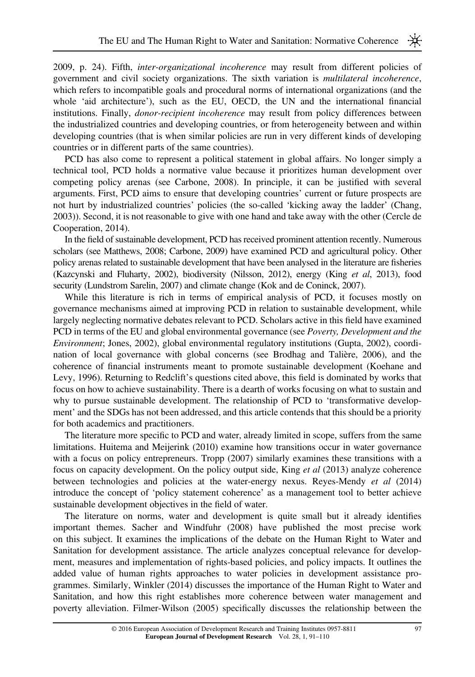[2009](#page-19-0), p. 24). Fifth, inter-organizational incoherence may result from different policies of government and civil society organizations. The sixth variation is multilateral incoherence, which refers to incompatible goals and procedural norms of international organizations (and the whole 'aid architecture'), such as the EU, OECD, the UN and the international financial institutions. Finally, *donor-recipient incoherence* may result from policy differences between the industrialized countries and developing countries, or from heterogeneity between and within developing countries (that is when similar policies are run in very different kinds of developing countries or in different parts of the same countries).

PCD has also come to represent a political statement in global affairs. No longer simply a technical tool, PCD holds a normative value because it prioritizes human development over competing policy arenas (see [Carbone, 2008\)](#page-16-0). In principle, it can be justified with several arguments. First, PCD aims to ensure that developing countries' current or future prospects are not hurt by industrialized countries' policies (the so-called 'kicking away the ladder' [\(Chang,](#page-17-0) [2003](#page-17-0))). Second, it is not reasonable to give with one hand and take away with the other ([Cercle de](#page-17-0) [Cooperation, 2014](#page-17-0)).

In the field of sustainable development, PCD has received prominent attention recently. Numerous scholars (see [Matthews, 2008](#page-18-0); [Carbone, 2009](#page-16-0)) have examined PCD and agricultural policy. Other policy arenas related to sustainable development that have been analysed in the literature are fisheries [\(Kazcynski and Fluharty, 2002\)](#page-18-0), biodiversity ([Nilsson, 2012\)](#page-18-0), energy (King et al[, 2013](#page-18-0)), food security ([Lundstrom Sarelin, 2007\)](#page-18-0) and climate change ([Kok and de Coninck, 2007\)](#page-18-0).

While this literature is rich in terms of empirical analysis of PCD, it focuses mostly on governance mechanisms aimed at improving PCD in relation to sustainable development, while largely neglecting normative debates relevant to PCD. Scholars active in this field have examined PCD in terms of the EU and global environmental governance (see *Poverty, Development and the* Environment; [Jones, 2002\)](#page-18-0), global environmental regulatory institutions ([Gupta, 2002\)](#page-17-0), coordination of local governance with global concerns (see [Brodhag and Talière, 2006](#page-16-0)), and the coherence of financial instruments meant to promote sustainable development [\(Koehane and](#page-18-0) [Levy, 1996\)](#page-18-0). Returning to Redclift's questions cited above, this field is dominated by works that focus on how to achieve sustainability. There is a dearth of works focusing on what to sustain and why to pursue sustainable development. The relationship of PCD to 'transformative development' and the SDGs has not been addressed, and this article contends that this should be a priority for both academics and practitioners.

The literature more specific to PCD and water, already limited in scope, suffers from the same limitations. [Huitema and Meijerink \(2010\)](#page-18-0) examine how transitions occur in water governance with a focus on policy entrepreneurs. [Tropp \(2007\)](#page-19-0) similarly examines these transitions with a focus on capacity development. On the policy output side, King et al [\(2013\)](#page-18-0) analyze coherence between technologies and policies at the water-energy nexus. [Reyes-Mendy](#page-19-0) et al (2014) introduce the concept of 'policy statement coherence' as a management tool to better achieve sustainable development objectives in the field of water.

The literature on norms, water and development is quite small but it already identifies important themes. [Sacher and Windfuhr \(2008\)](#page-19-0) have published the most precise work on this subject. It examines the implications of the debate on the Human Right to Water and Sanitation for development assistance. The article analyzes conceptual relevance for development, measures and implementation of rights-based policies, and policy impacts. It outlines the added value of human rights approaches to water policies in development assistance programmes. Similarly, [Winkler \(2014\)](#page-19-0) discusses the importance of the Human Right to Water and Sanitation, and how this right establishes more coherence between water management and poverty alleviation. [Filmer-Wilson \(2005\)](#page-17-0) specifically discusses the relationship between the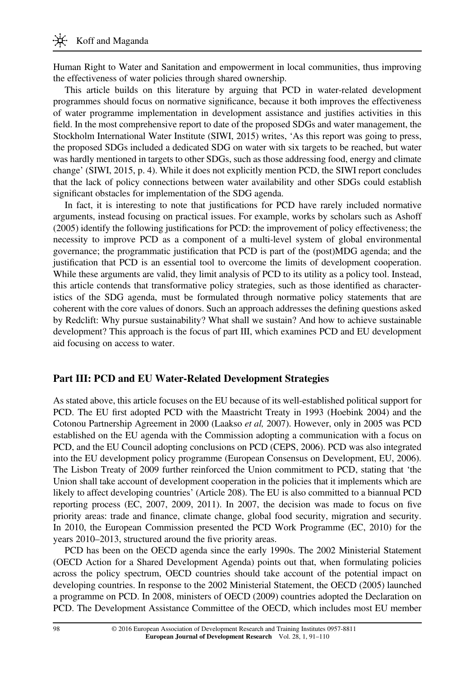Human Right to Water and Sanitation and empowerment in local communities, thus improving the effectiveness of water policies through shared ownership.

This article builds on this literature by arguing that PCD in water-related development programmes should focus on normative significance, because it both improves the effectiveness of water programme implementation in development assistance and justifies activities in this field. In the most comprehensive report to date of the proposed SDGs and water management, the Stockholm International Water Institute [\(SIWI, 2015\)](#page-19-0) writes, 'As this report was going to press, the proposed SDGs included a dedicated SDG on water with six targets to be reached, but water was hardly mentioned in targets to other SDGs, such as those addressing food, energy and climate change' [\(SIWI, 2015](#page-19-0), p. 4). While it does not explicitly mention PCD, the SIWI report concludes that the lack of policy connections between water availability and other SDGs could establish significant obstacles for implementation of the SDG agenda.

In fact, it is interesting to note that justifications for PCD have rarely included normative arguments, instead focusing on practical issues. For example, works by scholars such as [Ashoff](#page-16-0) [\(2005\)](#page-16-0) identify the following justifications for PCD: the improvement of policy effectiveness; the necessity to improve PCD as a component of a multi-level system of global environmental governance; the programmatic justification that PCD is part of the (post)MDG agenda; and the justification that PCD is an essential tool to overcome the limits of development cooperation. While these arguments are valid, they limit analysis of PCD to its utility as a policy tool. Instead, this article contends that transformative policy strategies, such as those identified as characteristics of the SDG agenda, must be formulated through normative policy statements that are coherent with the core values of donors. Such an approach addresses the defining questions asked by Redclift: Why pursue sustainability? What shall we sustain? And how to achieve sustainable development? This approach is the focus of part III, which examines PCD and EU development aid focusing on access to water.

## Part III: PCD and EU Water-Related Development Strategies

As stated above, this article focuses on the EU because of its well-established political support for PCD. The EU first adopted PCD with the Maastricht Treaty in 1993 (Hoebink 2004) and the Cotonou Partnership Agreement in 2000 ([Laakso](#page-18-0) et al, 2007). However, only in 2005 was PCD established on the EU agenda with the Commission adopting a communication with a focus on PCD, and the EU Council adopting conclusions on PCD ([CEPS, 2006\)](#page-17-0). PCD was also integrated into the EU development policy programme ([European Consensus on Development, EU, 2006](#page-17-0)). The Lisbon Treaty of 2009 further reinforced the Union commitment to PCD, stating that 'the Union shall take account of development cooperation in the policies that it implements which are likely to affect developing countries' (Article 208). The EU is also committed to a biannual PCD reporting process [\(EC, 2007, 2009, 2011\)](#page-17-0). In 2007, the decision was made to focus on five priority areas: trade and finance, climate change, global food security, migration and security. In 2010, the European Commission presented the PCD Work Programme ([EC, 2010\)](#page-17-0) for the years 2010–2013, structured around the five priority areas.

PCD has been on the OECD agenda since the early 1990s. The 2002 Ministerial Statement (OECD Action for a Shared Development Agenda) points out that, when formulating policies across the policy spectrum, OECD countries should take account of the potential impact on developing countries. In response to the 2002 Ministerial Statement, the [OECD \(2005\)](#page-19-0) launched a programme on PCD. In 2008, ministers of [OECD \(2009\)](#page-19-0) countries adopted the Declaration on PCD. The Development Assistance Committee of the OECD, which includes most EU member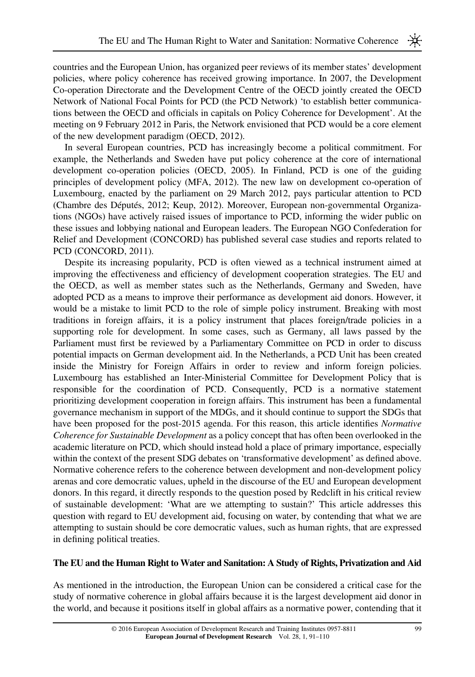countries and the European Union, has organized peer reviews of its member states' development policies, where policy coherence has received growing importance. In 2007, the Development Co-operation Directorate and the Development Centre of the OECD jointly created the OECD Network of National Focal Points for PCD (the PCD Network) 'to establish better communications between the OECD and officials in capitals on Policy Coherence for Development'. At the meeting on 9 February 2012 in Paris, the Network envisioned that PCD would be a core element of the new development paradigm ([OECD, 2012\)](#page-19-0).

In several European countries, PCD has increasingly become a political commitment. For example, the Netherlands and Sweden have put policy coherence at the core of international development co-operation policies [\(OECD, 2005\)](#page-19-0). In Finland, PCD is one of the guiding principles of development policy [\(MFA, 2012\)](#page-18-0). The new law on development co-operation of Luxembourg, enacted by the parliament on 29 March 2012, pays particular attention to PCD ([Chambre des Députés, 2012](#page-17-0); [Keup, 2012\)](#page-18-0). Moreover, European non-governmental Organizations (NGOs) have actively raised issues of importance to PCD, informing the wider public on these issues and lobbying national and European leaders. The European NGO Confederation for Relief and Development (CONCORD) has published several case studies and reports related to PCD [\(CONCORD, 2011](#page-17-0)).

Despite its increasing popularity, PCD is often viewed as a technical instrument aimed at improving the effectiveness and efficiency of development cooperation strategies. The EU and the OECD, as well as member states such as the Netherlands, Germany and Sweden, have adopted PCD as a means to improve their performance as development aid donors. However, it would be a mistake to limit PCD to the role of simple policy instrument. Breaking with most traditions in foreign affairs, it is a policy instrument that places foreign/trade policies in a supporting role for development. In some cases, such as Germany, all laws passed by the Parliament must first be reviewed by a Parliamentary Committee on PCD in order to discuss potential impacts on German development aid. In the Netherlands, a PCD Unit has been created inside the Ministry for Foreign Affairs in order to review and inform foreign policies. Luxembourg has established an Inter-Ministerial Committee for Development Policy that is responsible for the coordination of PCD. Consequently, PCD is a normative statement prioritizing development cooperation in foreign affairs. This instrument has been a fundamental governance mechanism in support of the MDGs, and it should continue to support the SDGs that have been proposed for the post-2015 agenda. For this reason, this article identifies Normative Coherence for Sustainable Development as a policy concept that has often been overlooked in the academic literature on PCD, which should instead hold a place of primary importance, especially within the context of the present SDG debates on 'transformative development' as defined above. Normative coherence refers to the coherence between development and non-development policy arenas and core democratic values, upheld in the discourse of the EU and European development donors. In this regard, it directly responds to the question posed by Redclift in his critical review of sustainable development: 'What are we attempting to sustain?' This article addresses this question with regard to EU development aid, focusing on water, by contending that what we are attempting to sustain should be core democratic values, such as human rights, that are expressed in defining political treaties.

## The EU and the Human Right to Water and Sanitation: A Study of Rights, Privatization and Aid

As mentioned in the introduction, the European Union can be considered a critical case for the study of normative coherence in global affairs because it is the largest development aid donor in the world, and because it positions itself in global affairs as a normative power, contending that it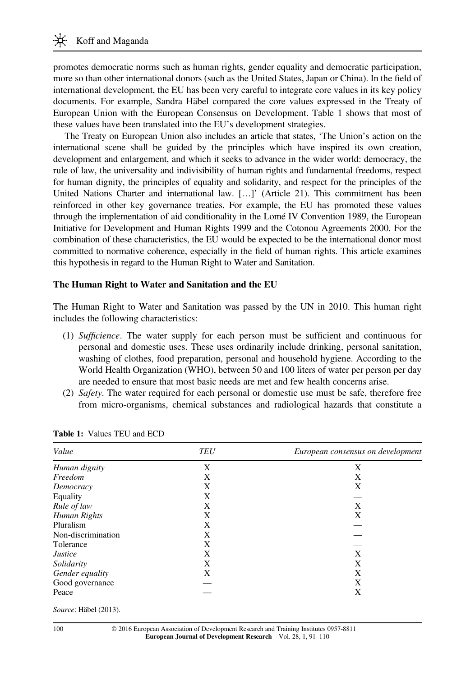promotes democratic norms such as human rights, gender equality and democratic participation, more so than other international donors (such as the United States, Japan or China). In the field of international development, the EU has been very careful to integrate core values in its key policy documents. For example, Sandra Häbel compared the core values expressed in the Treaty of European Union with the European Consensus on Development. Table 1 shows that most of these values have been translated into the EU's development strategies.

The Treaty on European Union also includes an article that states, 'The Union's action on the international scene shall be guided by the principles which have inspired its own creation, development and enlargement, and which it seeks to advance in the wider world: democracy, the rule of law, the universality and indivisibility of human rights and fundamental freedoms, respect for human dignity, the principles of equality and solidarity, and respect for the principles of the United Nations Charter and international law. […]' (Article 21). This commitment has been reinforced in other key governance treaties. For example, the EU has promoted these values through the implementation of aid conditionality in the Lomé IV Convention 1989, the European Initiative for Development and Human Rights 1999 and the Cotonou Agreements 2000. For the combination of these characteristics, the EU would be expected to be the international donor most committed to normative coherence, especially in the field of human rights. This article examines this hypothesis in regard to the Human Right to Water and Sanitation.

#### The Human Right to Water and Sanitation and the EU

The Human Right to Water and Sanitation was passed by the UN in 2010. This human right includes the following characteristics:

- (1) Sufficience. The water supply for each person must be sufficient and continuous for personal and domestic uses. These uses ordinarily include drinking, personal sanitation, washing of clothes, food preparation, personal and household hygiene. According to the World Health Organization (WHO), between 50 and 100 liters of water per person per day are needed to ensure that most basic needs are met and few health concerns arise.
- (2) Safety. The water required for each personal or domestic use must be safe, therefore free from micro-organisms, chemical substances and radiological hazards that constitute a

| Value              | <b>TEU</b> | European consensus on development |
|--------------------|------------|-----------------------------------|
| Human dignity      | X          | X                                 |
| Freedom            | X          | X                                 |
| Democracy          | X          | X                                 |
| Equality           | X          |                                   |
| Rule of law        | X          | X                                 |
| Human Rights       | X          | X                                 |
| Pluralism          | X          |                                   |
| Non-discrimination | X          |                                   |
| Tolerance          | X          |                                   |
| <i>Justice</i>     | X          | X                                 |
| Solidarity         | X          | X                                 |
| Gender equality    | X          | X                                 |
| Good governance    |            | X                                 |
| Peace              |            | X                                 |

Table 1: Values TEU and ECD

Source: [Häbel \(2013\)](#page-17-0).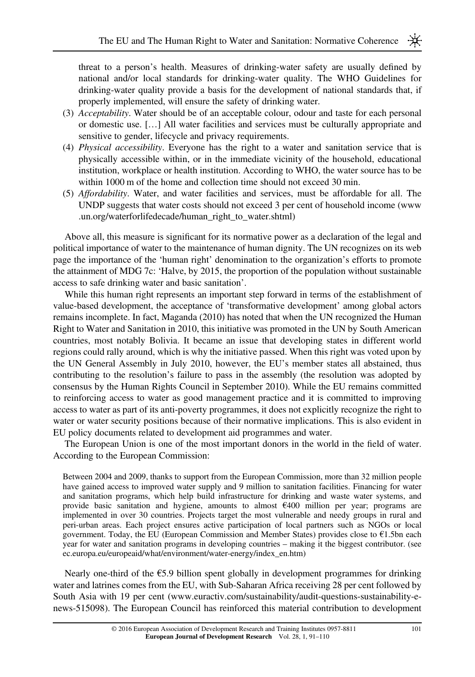threat to a person's health. Measures of drinking-water safety are usually defined by national and/or local standards for drinking-water quality. The WHO Guidelines for drinking-water quality provide a basis for the development of national standards that, if properly implemented, will ensure the safety of drinking water.

- (3) Acceptability. Water should be of an acceptable colour, odour and taste for each personal or domestic use. […] All water facilities and services must be culturally appropriate and sensitive to gender, lifecycle and privacy requirements.
- (4) Physical accessibility. Everyone has the right to a water and sanitation service that is physically accessible within, or in the immediate vicinity of the household, educational institution, workplace or health institution. According to WHO, the water source has to be within 1000 m of the home and collection time should not exceed 30 min.
- (5) Affordability. Water, and water facilities and services, must be affordable for all. The UNDP suggests that water costs should not exceed 3 per cent of household income [\(www](www.un.org/waterforlifedecade/human_right_to_water.shtml) [.un.org/waterforlifedecade/human\\_right\\_to\\_water.shtml\)](www.un.org/waterforlifedecade/human_right_to_water.shtml)

Above all, this measure is significant for its normative power as a declaration of the legal and political importance of water to the maintenance of human dignity. The UN recognizes on its web page the importance of the 'human right' denomination to the organization's efforts to promote the attainment of MDG 7c: 'Halve, by 2015, the proportion of the population without sustainable access to safe drinking water and basic sanitation'.

While this human right represents an important step forward in terms of the establishment of value-based development, the acceptance of 'transformative development' among global actors remains incomplete. In fact, [Maganda \(2010\)](#page-18-0) has noted that when the UN recognized the Human Right to Water and Sanitation in 2010, this initiative was promoted in the UN by South American countries, most notably Bolivia. It became an issue that developing states in different world regions could rally around, which is why the initiative passed. When this right was voted upon by the UN General Assembly in July 2010, however, the EU's member states all abstained, thus contributing to the resolution's failure to pass in the assembly (the resolution was adopted by consensus by the Human Rights Council in September 2010). While the EU remains committed to reinforcing access to water as good management practice and it is committed to improving access to water as part of its anti-poverty programmes, it does not explicitly recognize the right to water or water security positions because of their normative implications. This is also evident in EU policy documents related to development aid programmes and water.

The European Union is one of the most important donors in the world in the field of water. According to the European Commission:

Between 2004 and 2009, thanks to support from the European Commission, more than 32 million people have gained access to improved water supply and 9 million to sanitation facilities. Financing for water and sanitation programs, which help build infrastructure for drinking and waste water systems, and provide basic sanitation and hygiene, amounts to almost €400 million per year; programs are implemented in over 30 countries. Projects target the most vulnerable and needy groups in rural and peri-urban areas. Each project ensures active participation of local partners such as NGOs or local government. Today, the EU (European Commission and Member States) provides close to  $\epsilon$ 1.5bn each year for water and sanitation programs in developing countries – making it the biggest contributor. (see ec.europa.eu/europeaid/what/environment/water-energy/index\_en.htm)

Nearly one-third of the  $\epsilon$ 5.9 billion spent globally in development programmes for drinking water and latrines comes from the EU, with Sub-Saharan Africa receiving 28 per cent followed by South Asia with 19 per cent ([www.euractiv.com/sustainability/audit-questions-sustainability-e](www.euractiv.com/sustainability/audit-questions-sustainability-e-news-515098)[news-515098\)](www.euractiv.com/sustainability/audit-questions-sustainability-e-news-515098). The European Council has reinforced this material contribution to development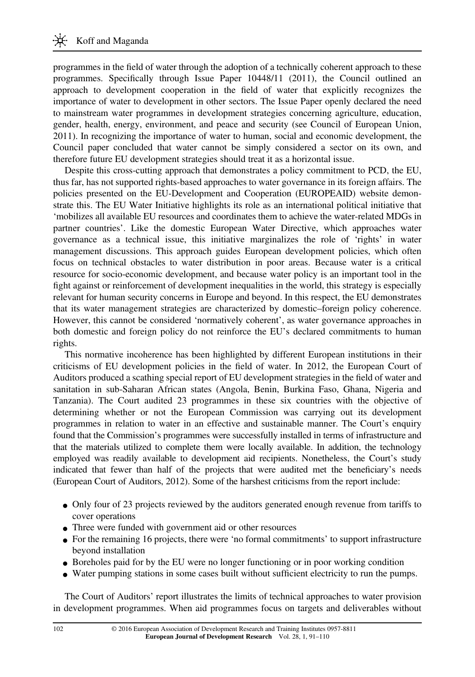programmes in the field of water through the adoption of a technically coherent approach to these programmes. Specifically through Issue Paper 10448/11 (2011), the Council outlined an approach to development cooperation in the field of water that explicitly recognizes the importance of water to development in other sectors. The Issue Paper openly declared the need to mainstream water programmes in development strategies concerning agriculture, education, gender, health, energy, environment, and peace and security (see [Council of European Union,](#page-17-0) [2011](#page-17-0)). In recognizing the importance of water to human, social and economic development, the Council paper concluded that water cannot be simply considered a sector on its own, and therefore future EU development strategies should treat it as a horizontal issue.

Despite this cross-cutting approach that demonstrates a policy commitment to PCD, the EU, thus far, has not supported rights-based approaches to water governance in its foreign affairs. The policies presented on the EU-Development and Cooperation (EUROPEAID) website demonstrate this. The EU Water Initiative highlights its role as an international political initiative that 'mobilizes all available EU resources and coordinates them to achieve the water-related MDGs in partner countries'. Like the domestic European Water Directive, which approaches water governance as a technical issue, this initiative marginalizes the role of 'rights' in water management discussions. This approach guides European development policies, which often focus on technical obstacles to water distribution in poor areas. Because water is a critical resource for socio-economic development, and because water policy is an important tool in the fight against or reinforcement of development inequalities in the world, this strategy is especially relevant for human security concerns in Europe and beyond. In this respect, the EU demonstrates that its water management strategies are characterized by domestic–foreign policy coherence. However, this cannot be considered 'normatively coherent', as water governance approaches in both domestic and foreign policy do not reinforce the EU's declared commitments to human rights.

This normative incoherence has been highlighted by different European institutions in their criticisms of EU development policies in the field of water. In 2012, the European Court of Auditors produced a scathing special report of EU development strategies in the field of water and sanitation in sub-Saharan African states (Angola, Benin, Burkina Faso, Ghana, Nigeria and Tanzania). The Court audited 23 programmes in these six countries with the objective of determining whether or not the European Commission was carrying out its development programmes in relation to water in an effective and sustainable manner. The Court's enquiry found that the Commission's programmes were successfully installed in terms of infrastructure and that the materials utilized to complete them were locally available. In addition, the technology employed was readily available to development aid recipients. Nonetheless, the Court's study indicated that fewer than half of the projects that were audited met the beneficiary's needs [\(European Court of Auditors, 2012\)](#page-17-0). Some of the harshest criticisms from the report include:

- Only four of 23 projects reviewed by the auditors generated enough revenue from tariffs to cover operations
- Three were funded with government aid or other resources
- For the remaining 16 projects, there were 'no formal commitments' to support infrastructure beyond installation
- Boreholes paid for by the EU were no longer functioning or in poor working condition
- Water pumping stations in some cases built without sufficient electricity to run the pumps.

The Court of Auditors' report illustrates the limits of technical approaches to water provision in development programmes. When aid programmes focus on targets and deliverables without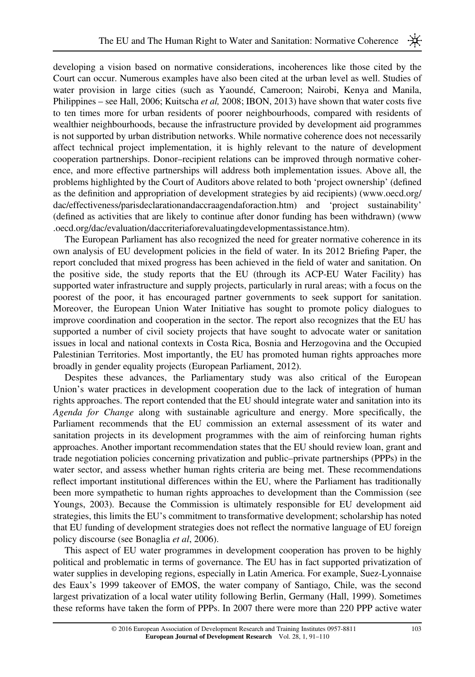developing a vision based on normative considerations, incoherences like those cited by the Court can occur. Numerous examples have also been cited at the urban level as well. Studies of water provision in large cities (such as Yaoundé, Cameroon; Nairobi, Kenya and Manila, Philippines – see [Hall, 2006](#page-17-0); [Kuitscha](#page-18-0) *et al.* 2008; [IBON, 2013\)](#page-18-0) have shown that water costs five to ten times more for urban residents of poorer neighbourhoods, compared with residents of wealthier neighbourhoods, because the infrastructure provided by development aid programmes is not supported by urban distribution networks. While normative coherence does not necessarily affect technical project implementation, it is highly relevant to the nature of development cooperation partnerships. Donor–recipient relations can be improved through normative coherence, and more effective partnerships will address both implementation issues. Above all, the problems highlighted by the Court of Auditors above related to both 'project ownership' (defined as the definition and appropriation of development strategies by aid recipients) ([www.oecd.org/](www.oecd.org/dac/effectiveness/parisdeclarationandaccraagendaforaction.htm) [dac/effectiveness/parisdeclarationandaccraagendaforaction.htm](www.oecd.org/dac/effectiveness/parisdeclarationandaccraagendaforaction.htm)) and 'project sustainability' (defined as activities that are likely to continue after donor funding has been withdrawn) [\(www](www.oecd.org/dac/evaluation/daccriteriaforevaluatingdevelopmentassistance.htm) [.oecd.org/dac/evaluation/daccriteriaforevaluatingdevelopmentassistance.htm\)](www.oecd.org/dac/evaluation/daccriteriaforevaluatingdevelopmentassistance.htm).

The European Parliament has also recognized the need for greater normative coherence in its own analysis of EU development policies in the field of water. In its 2012 Briefing Paper, the report concluded that mixed progress has been achieved in the field of water and sanitation. On the positive side, the study reports that the EU (through its ACP-EU Water Facility) has supported water infrastructure and supply projects, particularly in rural areas; with a focus on the poorest of the poor, it has encouraged partner governments to seek support for sanitation. Moreover, the European Union Water Initiative has sought to promote policy dialogues to improve coordination and cooperation in the sector. The report also recognizes that the EU has supported a number of civil society projects that have sought to advocate water or sanitation issues in local and national contexts in Costa Rica, Bosnia and Herzogovina and the Occupied Palestinian Territories. Most importantly, the EU has promoted human rights approaches more broadly in gender equality projects [\(European Parliament, 2012\)](#page-17-0).

Despites these advances, the Parliamentary study was also critical of the European Union's water practices in development cooperation due to the lack of integration of human rights approaches. The report contended that the EU should integrate water and sanitation into its Agenda for Change along with sustainable agriculture and energy. More specifically, the Parliament recommends that the EU commission an external assessment of its water and sanitation projects in its development programmes with the aim of reinforcing human rights approaches. Another important recommendation states that the EU should review loan, grant and trade negotiation policies concerning privatization and public–private partnerships (PPPs) in the water sector, and assess whether human rights criteria are being met. These recommendations reflect important institutional differences within the EU, where the Parliament has traditionally been more sympathetic to human rights approaches to development than the Commission (see [Youngs, 2003](#page-19-0)). Because the Commission is ultimately responsible for EU development aid strategies, this limits the EU's commitment to transformative development; scholarship has noted that EU funding of development strategies does not reflect the normative language of EU foreign policy discourse (see [Bonaglia](#page-16-0) et al, 2006).

This aspect of EU water programmes in development cooperation has proven to be highly political and problematic in terms of governance. The EU has in fact supported privatization of water supplies in developing regions, especially in Latin America. For example, Suez-Lyonnaise des Eaux's 1999 takeover of EMOS, the water company of Santiago, Chile, was the second largest privatization of a local water utility following Berlin, Germany [\(Hall, 1999](#page-17-0)). Sometimes these reforms have taken the form of PPPs. In 2007 there were more than 220 PPP active water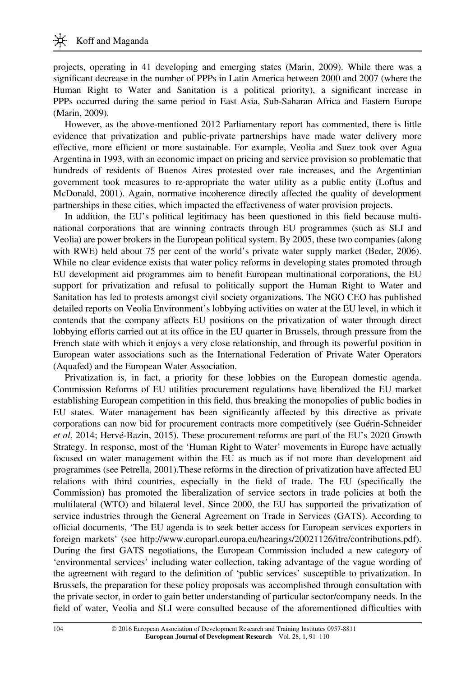projects, operating in 41 developing and emerging states [\(Marin, 2009\)](#page-18-0). While there was a significant decrease in the number of PPPs in Latin America between 2000 and 2007 (where the Human Right to Water and Sanitation is a political priority), a significant increase in PPPs occurred during the same period in East Asia, Sub-Saharan Africa and Eastern Europe ([Marin, 2009\)](#page-18-0).

However, as the above-mentioned 2012 Parliamentary report has commented, there is little evidence that privatization and public-private partnerships have made water delivery more effective, more efficient or more sustainable. For example, Veolia and Suez took over Agua Argentina in 1993, with an economic impact on pricing and service provision so problematic that hundreds of residents of Buenos Aires protested over rate increases, and the Argentinian government took measures to re-appropriate the water utility as a public entity [\(Loftus and](#page-18-0) [McDonald, 2001\)](#page-18-0). Again, normative incoherence directly affected the quality of development partnerships in these cities, which impacted the effectiveness of water provision projects.

In addition, the EU's political legitimacy has been questioned in this field because multinational corporations that are winning contracts through EU programmes (such as SLI and Veolia) are power brokers in the European political system. By 2005, these two companies (along with RWE) held about 75 per cent of the world's private water supply market ([Beder, 2006](#page-16-0)). While no clear evidence exists that water policy reforms in developing states promoted through EU development aid programmes aim to benefit European multinational corporations, the EU support for privatization and refusal to politically support the Human Right to Water and Sanitation has led to protests amongst civil society organizations. The NGO CEO has published detailed reports on Veolia Environment's lobbying activities on water at the EU level, in which it contends that the company affects EU positions on the privatization of water through direct lobbying efforts carried out at its office in the EU quarter in Brussels, through pressure from the French state with which it enjoys a very close relationship, and through its powerful position in European water associations such as the International Federation of Private Water Operators (Aquafed) and the European Water Association.

Privatization is, in fact, a priority for these lobbies on the European domestic agenda. Commission Reforms of EU utilities procurement regulations have liberalized the EU market establishing European competition in this field, thus breaking the monopolies of public bodies in EU states. Water management has been significantly affected by this directive as private corporations can now bid for procurement contracts more competitively (see [Guérin-Schneider](#page-17-0) et al[, 2014](#page-17-0); [Hervé-Bazin, 2015](#page-17-0)). These procurement reforms are part of the EU's 2020 Growth Strategy. In response, most of the 'Human Right to Water' movements in Europe have actually focused on water management within the EU as much as if not more than development aid programmes (see [Petrella, 2001](#page-19-0)).These reforms in the direction of privatization have affected EU relations with third countries, especially in the field of trade. The EU (specifically the Commission) has promoted the liberalization of service sectors in trade policies at both the multilateral (WTO) and bilateral level. Since 2000, the EU has supported the privatization of service industries through the General Agreement on Trade in Services (GATS). According to official documents, 'The EU agenda is to seek better access for European services exporters in foreign markets' (see<http://www.europarl.europa.eu/hearings/20021126/itre/contributions.pdf>). During the first GATS negotiations, the European Commission included a new category of 'environmental services' including water collection, taking advantage of the vague wording of the agreement with regard to the definition of 'public services' susceptible to privatization. In Brussels, the preparation for these policy proposals was accomplished through consultation with the private sector, in order to gain better understanding of particular sector/company needs. In the field of water, Veolia and SLI were consulted because of the aforementioned difficulties with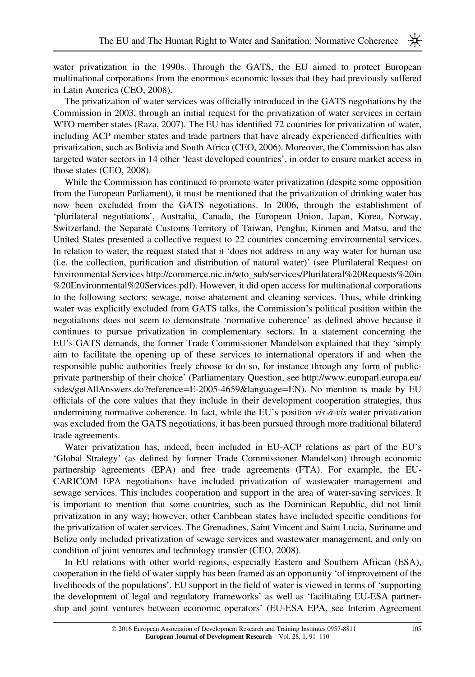water privatization in the 1990s. Through the GATS, the EU aimed to protect European multinational corporations from the enormous economic losses that they had previously suffered in Latin America ([CEO, 2008\)](#page-17-0).

The privatization of water services was officially introduced in the GATS negotiations by the Commission in 2003, through an initial request for the privatization of water services in certain WTO member states ([Raza, 2007\)](#page-19-0). The EU has identified 72 countries for privatization of water, including ACP member states and trade partners that have already experienced difficulties with privatization, such as Bolivia and South Africa [\(CEO, 2006\)](#page-16-0). Moreover, the Commission has also targeted water sectors in 14 other 'least developed countries', in order to ensure market access in those states [\(CEO, 2008](#page-17-0)).

While the Commission has continued to promote water privatization (despite some opposition from the European Parliament), it must be mentioned that the privatization of drinking water has now been excluded from the GATS negotiations. In 2006, through the establishment of 'plurilateral negotiations', Australia, Canada, the European Union, Japan, Korea, Norway, Switzerland, the Separate Customs Territory of Taiwan, Penghu, Kinmen and Matsu, and the United States presented a collective request to 22 countries concerning environmental services. In relation to water, the request stated that it 'does not address in any way water for human use (i.e. the collection, purification and distribution of natural water)' (see Plurilateral Request on Environmental Services [http://commerce.nic.in/wto\\_sub/services/Plurilateral%20Requests%20in](http://commerce.nic.in/wto_sub/services/Plurilateral%20Requests%20in%20Environmental%20Services.pdf) [%20Environmental%20Services.pdf\)](http://commerce.nic.in/wto_sub/services/Plurilateral%20Requests%20in%20Environmental%20Services.pdf). However, it did open access for multinational corporations to the following sectors: sewage, noise abatement and cleaning services. Thus, while drinking water was explicitly excluded from GATS talks, the Commission's political position within the negotiations does not seem to demonstrate 'normative coherence' as defined above because it continues to pursue privatization in complementary sectors. In a statement concerning the EU's GATS demands, the former Trade Commissioner Mandelson explained that they 'simply aim to facilitate the opening up of these services to international operators if and when the responsible public authorities freely choose to do so, for instance through any form of publicprivate partnership of their choice' (Parliamentary Question, see [http://www.europarl.europa.eu/](http://www.europarl.europa.eu/sides/getAllAnswers.do?reference=E-2005-4659&language=EN) [sides/getAllAnswers.do?reference](http://www.europarl.europa.eu/sides/getAllAnswers.do?reference=E-2005-4659&language=EN)=E-2005-4659&language=EN). No mention is made by EU officials of the core values that they include in their development cooperation strategies, thus undermining normative coherence. In fact, while the EU's position  $vis-\hat{a}-vis$  water privatization was excluded from the GATS negotiations, it has been pursued through more traditional bilateral trade agreements.

Water privatization has, indeed, been included in EU-ACP relations as part of the EU's 'Global Strategy' (as defined by former Trade Commissioner Mandelson) through economic partnership agreements (EPA) and free trade agreements (FTA). For example, the EU-CARICOM EPA negotiations have included privatization of wastewater management and sewage services. This includes cooperation and support in the area of water-saving services. It is important to mention that some countries, such as the Dominican Republic, did not limit privatization in any way; however, other Caribbean states have included specific conditions for the privatization of water services. The Grenadines, Saint Vincent and Saint Lucia, Suriname and Belize only included privatization of sewage services and wastewater management, and only on condition of joint ventures and technology transfer [\(CEO, 2008](#page-17-0)).

In EU relations with other world regions, especially Eastern and Southern African (ESA), cooperation in the field of water supply has been framed as an opportunity 'of improvement of the livelihoods of the populations'. EU support in the field of water is viewed in terms of 'supporting the development of legal and regulatory frameworks' as well as 'facilitating EU-ESA partnership and joint ventures between economic operators' (EU-ESA EPA, see Interim Agreement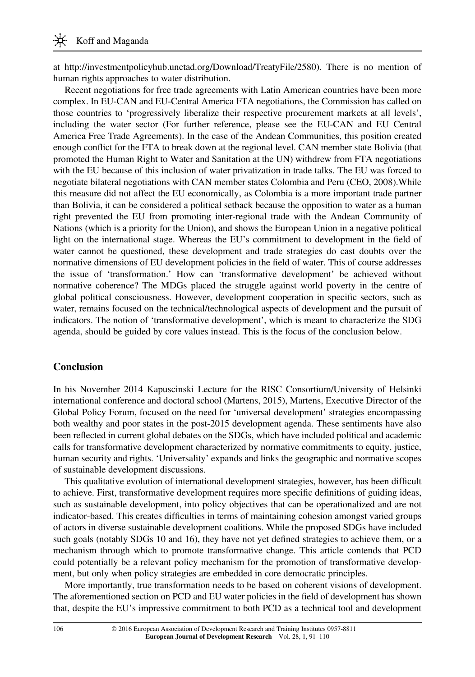at [http://investmentpolicyhub.unctad.org/Download/TreatyFile/2580\)](http://investmentpolicyhub.unctad.org/Download/TreatyFile/2580). There is no mention of human rights approaches to water distribution.

Recent negotiations for free trade agreements with Latin American countries have been more complex. In EU-CAN and EU-Central America FTA negotiations, the Commission has called on those countries to 'progressively liberalize their respective procurement markets at all levels', including the water sector (For further reference, please see the EU-CAN and EU Central America Free Trade Agreements). In the case of the Andean Communities, this position created enough conflict for the FTA to break down at the regional level. CAN member state Bolivia (that promoted the Human Right to Water and Sanitation at the UN) withdrew from FTA negotiations with the EU because of this inclusion of water privatization in trade talks. The EU was forced to negotiate bilateral negotiations with CAN member states Colombia and Peru [\(CEO, 2008](#page-17-0)).While this measure did not affect the EU economically, as Colombia is a more important trade partner than Bolivia, it can be considered a political setback because the opposition to water as a human right prevented the EU from promoting inter-regional trade with the Andean Community of Nations (which is a priority for the Union), and shows the European Union in a negative political light on the international stage. Whereas the EU's commitment to development in the field of water cannot be questioned, these development and trade strategies do cast doubts over the normative dimensions of EU development policies in the field of water. This of course addresses the issue of 'transformation.' How can 'transformative development' be achieved without normative coherence? The MDGs placed the struggle against world poverty in the centre of global political consciousness. However, development cooperation in specific sectors, such as water, remains focused on the technical/technological aspects of development and the pursuit of indicators. The notion of 'transformative development', which is meant to characterize the SDG agenda, should be guided by core values instead. This is the focus of the conclusion below.

## Conclusion

In his November 2014 Kapuscinski Lecture for the RISC Consortium/University of Helsinki international conference and doctoral school ([Martens, 2015\)](#page-18-0), Martens, Executive Director of the Global Policy Forum, focused on the need for 'universal development' strategies encompassing both wealthy and poor states in the post-2015 development agenda. These sentiments have also been reflected in current global debates on the SDGs, which have included political and academic calls for transformative development characterized by normative commitments to equity, justice, human security and rights. 'Universality' expands and links the geographic and normative scopes of sustainable development discussions.

This qualitative evolution of international development strategies, however, has been difficult to achieve. First, transformative development requires more specific definitions of guiding ideas, such as sustainable development, into policy objectives that can be operationalized and are not indicator-based. This creates difficulties in terms of maintaining cohesion amongst varied groups of actors in diverse sustainable development coalitions. While the proposed SDGs have included such goals (notably SDGs 10 and 16), they have not yet defined strategies to achieve them, or a mechanism through which to promote transformative change. This article contends that PCD could potentially be a relevant policy mechanism for the promotion of transformative development, but only when policy strategies are embedded in core democratic principles.

More importantly, true transformation needs to be based on coherent visions of development. The aforementioned section on PCD and EU water policies in the field of development has shown that, despite the EU's impressive commitment to both PCD as a technical tool and development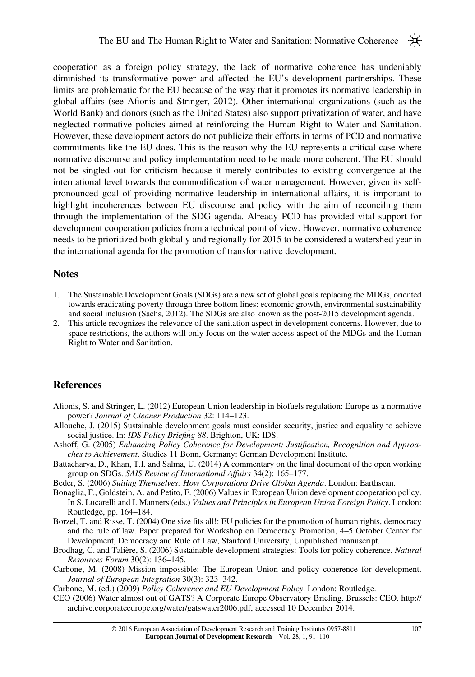<span id="page-16-0"></span>cooperation as a foreign policy strategy, the lack of normative coherence has undeniably diminished its transformative power and affected the EU's development partnerships. These limits are problematic for the EU because of the way that it promotes its normative leadership in global affairs (see Afionis and Stringer, 2012). Other international organizations (such as the World Bank) and donors (such as the United States) also support privatization of water, and have neglected normative policies aimed at reinforcing the Human Right to Water and Sanitation. However, these development actors do not publicize their efforts in terms of PCD and normative commitments like the EU does. This is the reason why the EU represents a critical case where normative discourse and policy implementation need to be made more coherent. The EU should not be singled out for criticism because it merely contributes to existing convergence at the international level towards the commodification of water management. However, given its selfpronounced goal of providing normative leadership in international affairs, it is important to highlight incoherences between EU discourse and policy with the aim of reconciling them through the implementation of the SDG agenda. Already PCD has provided vital support for development cooperation policies from a technical point of view. However, normative coherence needs to be prioritized both globally and regionally for 2015 to be considered a watershed year in the international agenda for the promotion of transformative development.

#### **Notes**

- 1. The Sustainable Development Goals (SDGs) are a new set of global goals replacing the MDGs, oriented towards eradicating poverty through three bottom lines: economic growth, environmental sustainability and social inclusion ([Sachs, 2012](#page-19-0)). The SDGs are also known as the post-2015 development agenda.
- 2. This article recognizes the relevance of the sanitation aspect in development concerns. However, due to space restrictions, the authors will only focus on the water access aspect of the MDGs and the Human Right to Water and Sanitation.

## References

- Afionis, S. and Stringer, L. (2012) European Union leadership in biofuels regulation: Europe as a normative power? Journal of Cleaner Production 32: 114–123.
- Allouche, J. (2015) Sustainable development goals must consider security, justice and equality to achieve social justice. In: *IDS Policy Briefing 88*. Brighton, UK: IDS.
- Ashoff, G. (2005) Enhancing Policy Coherence for Development: Justification, Recognition and Approaches to Achievement. Studies 11 Bonn, Germany: German Development Institute.
- Battacharya, D., Khan, T.I. and Salma, U. (2014) A commentary on the final document of the open working group on SDGs. SAIS Review of International Affairs 34(2): 165–177.
- Beder, S. (2006) Suiting Themselves: How Corporations Drive Global Agenda. London: Earthscan.
- Bonaglia, F., Goldstein, A. and Petito, F. (2006) Values in European Union development cooperation policy. In S. Lucarelli and I. Manners (eds.) Values and Principles in European Union Foreign Policy. London: Routledge, pp. 164–184.
- Börzel, T. and Risse, T. (2004) One size fits all!: EU policies for the promotion of human rights, democracy and the rule of law. Paper prepared for Workshop on Democracy Promotion, 4–5 October Center for Development, Democracy and Rule of Law, Stanford University, Unpublished manuscript.
- Brodhag, C. and Talière, S. (2006) Sustainable development strategies: Tools for policy coherence. Natural Resources Forum 30(2): 136–145.
- Carbone, M. (2008) Mission impossible: The European Union and policy coherence for development. Journal of European Integration 30(3): 323–342.

Carbone, M. (ed.) (2009) Policy Coherence and EU Development Policy. London: Routledge.

CEO (2006) Water almost out of GATS? A Corporate Europe Observatory Briefing. Brussels: CEO. [http://](http://archive.corporateeurope.org/water/gatswater2006.pdf) [archive.corporateeurope.org/water/gatswater2006.pdf,](http://archive.corporateeurope.org/water/gatswater2006.pdf) accessed 10 December 2014.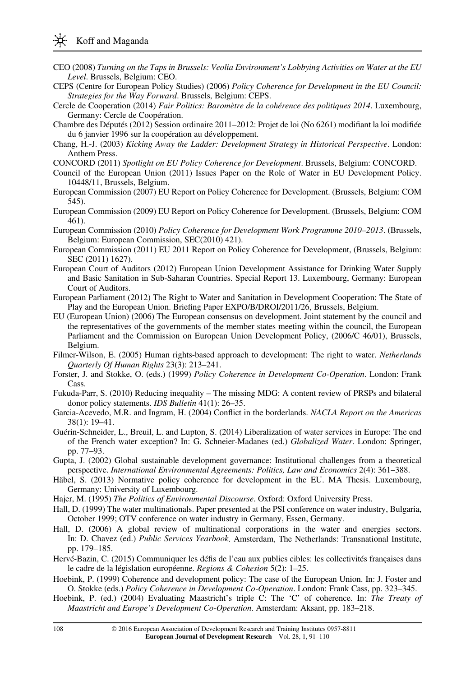- <span id="page-17-0"></span>CEO (2008) Turning on the Taps in Brussels: Veolia Environment's Lobbying Activities on Water at the EU Level. Brussels, Belgium: CEO.
- CEPS (Centre for European Policy Studies) (2006) Policy Coherence for Development in the EU Council: Strategies for the Way Forward. Brussels, Belgium: CEPS.
- Cercle de Cooperation (2014) Fair Politics: Baromètre de la cohérence des politiques 2014. Luxembourg, Germany: Cercle de Coopération.
- Chambre des Députés (2012) Session ordinaire 2011–2012: Projet de loi (No 6261) modifiant la loi modifiée du 6 janvier 1996 sur la coopération au développement.
- Chang, H.-J. (2003) Kicking Away the Ladder: Development Strategy in Historical Perspective. London: Anthem Press.
- CONCORD (2011) Spotlight on EU Policy Coherence for Development. Brussels, Belgium: CONCORD.
- Council of the European Union (2011) Issues Paper on the Role of Water in EU Development Policy. 10448/11, Brussels, Belgium.
- European Commission (2007) EU Report on Policy Coherence for Development. (Brussels, Belgium: COM 545).
- European Commission (2009) EU Report on Policy Coherence for Development. (Brussels, Belgium: COM 461).
- European Commission (2010) Policy Coherence for Development Work Programme 2010–2013. (Brussels, Belgium: European Commission, SEC(2010) 421).
- European Commission (2011) EU 2011 Report on Policy Coherence for Development, (Brussels, Belgium: SEC (2011) 1627).
- European Court of Auditors (2012) European Union Development Assistance for Drinking Water Supply and Basic Sanitation in Sub-Saharan Countries. Special Report 13. Luxembourg, Germany: European Court of Auditors.
- European Parliament (2012) The Right to Water and Sanitation in Development Cooperation: The State of Play and the European Union. Briefing Paper EXPO/B/DROI/2011/26, Brussels, Belgium.
- EU (European Union) (2006) The European consensus on development. Joint statement by the council and the representatives of the governments of the member states meeting within the council, the European Parliament and the Commission on European Union Development Policy, (2006/C 46/01), Brussels, Belgium.
- Filmer-Wilson, E. (2005) Human rights-based approach to development: The right to water. Netherlands Quarterly Of Human Rights 23(3): 213–241.
- Forster, J. and Stokke, O. (eds.) (1999) Policy Coherence in Development Co-Operation. London: Frank Cass.
- Fukuda-Parr, S. (2010) Reducing inequality The missing MDG: A content review of PRSPs and bilateral donor policy statements. IDS Bulletin 41(1): 26–35.
- Garcia-Acevedo, M.R. and Ingram, H. (2004) Conflict in the borderlands. NACLA Report on the Americas 38(1): 19–41.
- Guérin-Schneider, L., Breuil, L. and Lupton, S. (2014) Liberalization of water services in Europe: The end of the French water exception? In: G. Schneier-Madanes (ed.) Globalized Water. London: Springer, pp. 77–93.
- Gupta, J. (2002) Global sustainable development governance: Institutional challenges from a theoretical perspective. International Environmental Agreements: Politics, Law and Economics 2(4): 361–388.
- Häbel, S. (2013) Normative policy coherence for development in the EU. MA Thesis. Luxembourg, Germany: University of Luxembourg.
- Hajer, M. (1995) The Politics of Environmental Discourse. Oxford: Oxford University Press.
- Hall, D. (1999) The water multinationals. Paper presented at the PSI conference on water industry, Bulgaria, October 1999; OTV conference on water industry in Germany, Essen, Germany.
- Hall, D. (2006) A global review of multinational corporations in the water and energies sectors. In: D. Chavez (ed.) Public Services Yearbook. Amsterdam, The Netherlands: Transnational Institute, pp. 179–185.
- Hervé-Bazin, C. (2015) Communiquer les défis de l'eau aux publics cibles: les collectivités françaises dans le cadre de la législation européenne. Regions & Cohesion 5(2): 1–25.
- Hoebink, P. (1999) Coherence and development policy: The case of the European Union. In: J. Foster and O. Stokke (eds.) Policy Coherence in Development Co-Operation. London: Frank Cass, pp. 323–345.
- Hoebink, P. (ed.) (2004) Evaluating Maastricht's triple C: The 'C' of coherence. In: The Treaty of Maastricht and Europe's Development Co-Operation. Amsterdam: Aksant, pp. 183–218.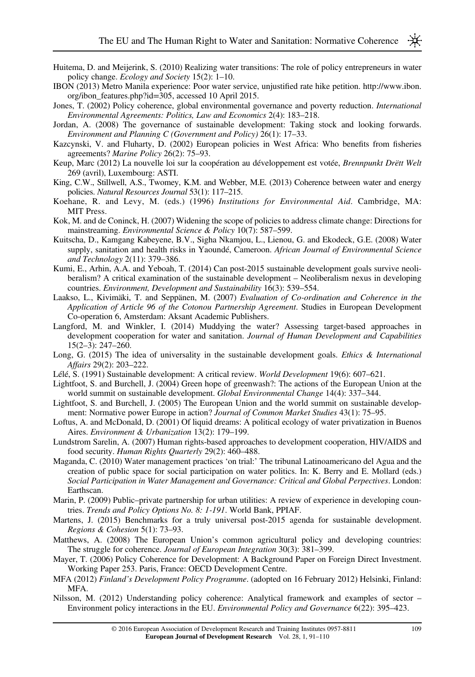- <span id="page-18-0"></span>Huitema, D. and Meijerink, S. (2010) Realizing water transitions: The role of policy entrepreneurs in water policy change. *Ecology and Society* 15(2): 1–10.
- IBON (2013) Metro Manila experience: Poor water service, unjustified rate hike petition. [http://www.ibon.](http://www.ibon.org/ibon_features.php?id=305) [org/ibon\\_features.php?id](http://www.ibon.org/ibon_features.php?id=305)=305, accessed 10 April 2015.
- Jones, T. (2002) Policy coherence, global environmental governance and poverty reduction. International Environmental Agreements: Politics, Law and Economics 2(4): 183–218.
- Jordan, A. (2008) The governance of sustainable development: Taking stock and looking forwards. Environment and Planning C (Government and Policy) 26(1): 17–33.
- Kazcynski, V. and Fluharty, D. (2002) European policies in West Africa: Who benefits from fisheries agreements? Marine Policy 26(2): 75–93.
- Keup, Marc (2012) La nouvelle loi sur la coopération au développement est votée, Brennpunkt Drëtt Welt 269 (avril), Luxembourg: ASTI.
- King, C.W., Stillwell, A.S., Twomey, K.M. and Webber, M.E. (2013) Coherence between water and energy policies. Natural Resources Journal 53(1): 117–215.
- Koehane, R. and Levy, M. (eds.) (1996) Institutions for Environmental Aid. Cambridge, MA: MIT Press.
- Kok, M. and de Coninck, H. (2007) Widening the scope of policies to address climate change: Directions for mainstreaming. Environmental Science & Policy 10(7): 587–599.
- Kuitscha, D., Kamgang Kabeyene, B.V., Sigha Nkamjou, L., Lienou, G. and Ekodeck, G.E. (2008) Water supply, sanitation and health risks in Yaoundé, Cameroon. African Journal of Environmental Science and Technology 2(11): 379–386.
- Kumi, E., Arhin, A.A. and Yeboah, T. (2014) Can post-2015 sustainable development goals survive neoliberalism? A critical examination of the sustainable development – Neoliberalism nexus in developing countries. Environment, Development and Sustainability 16(3): 539–554.
- Laakso, L., Kivimäki, T. and Seppänen, M. (2007) Evaluation of Co-ordination and Coherence in the Application of Article 96 of the Cotonou Partnership Agreement. Studies in European Development Co-operation 6, Amsterdam: Aksant Academic Publishers.
- Langford, M. and Winkler, I. (2014) Muddying the water? Assessing target-based approaches in development cooperation for water and sanitation. Journal of Human Development and Capabilities 15(2–3): 247–260.
- Long, G. (2015) The idea of universality in the sustainable development goals. Ethics & International Affairs 29(2): 203–222.
- Lélé, S. (1991) Sustainable development: A critical review. World Development 19(6): 607–621.
- Lightfoot, S. and Burchell, J. (2004) Green hope of greenwash?: The actions of the European Union at the world summit on sustainable development. Global Environmental Change 14(4): 337-344.
- Lightfoot, S. and Burchell, J. (2005) The European Union and the world summit on sustainable development: Normative power Europe in action? Journal of Common Market Studies 43(1): 75–95.
- Loftus, A. and McDonald, D. (2001) Of liquid dreams: A political ecology of water privatization in Buenos Aires. Environment & Urbanization 13(2): 179–199.
- Lundstrom Sarelin, A. (2007) Human rights-based approaches to development cooperation, HIV/AIDS and food security. Human Rights Quarterly 29(2): 460-488.
- Maganda, C. (2010) Water management practices 'on trial:' The tribunal Latinoamericano del Agua and the creation of public space for social participation on water politics. In: K. Berry and E. Mollard (eds.) Social Participation in Water Management and Governance: Critical and Global Perpectives. London: Earthscan.
- Marin, P. (2009) Public–private partnership for urban utilities: A review of experience in developing countries. Trends and Policy Options No. 8: 1-191. World Bank, PPIAF.
- Martens, J. (2015) Benchmarks for a truly universal post-2015 agenda for sustainable development. Regions & Cohesion 5(1): 73–93.
- Matthews, A. (2008) The European Union's common agricultural policy and developing countries: The struggle for coherence. Journal of European Integration 30(3): 381–399.
- Mayer, T. (2006) Policy Coherence for Development: A Background Paper on Foreign Direct Investment. Working Paper 253. Paris, France: OECD Development Centre.
- MFA (2012) Finland's Development Policy Programme. (adopted on 16 February 2012) Helsinki, Finland: MFA.
- Nilsson, M. (2012) Understanding policy coherence: Analytical framework and examples of sector Environment policy interactions in the EU. Environmental Policy and Governance 6(22): 395–423.